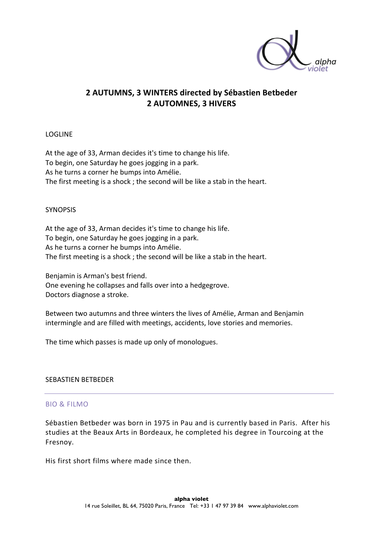

# **2 AUTUMNS, 3 WINTERS directed by Sébastien Betbeder 2 AUTOMNES, 3 HIVERS**

### LOGLINE

At the age of 33, Arman decides it's time to change his life. To begin, one Saturday he goes jogging in a park. As he turns a corner he bumps into Amélie. The first meeting is a shock ; the second will be like a stab in the heart.

## **SYNOPSIS**

At the age of 33, Arman decides it's time to change his life. To begin, one Saturday he goes jogging in a park. As he turns a corner he bumps into Amélie. The first meeting is a shock ; the second will be like a stab in the heart.

Benjamin is Arman's best friend. One evening he collapses and falls over into a hedgegrove. Doctors diagnose a stroke.

Between two autumns and three winters the lives of Amélie, Arman and Benjamin intermingle and are filled with meetings, accidents, love stories and memories.

The time which passes is made up only of monologues.

## SEBASTIEN BETBEDER

## BIO & FILMO

Sébastien Betbeder was born in 1975 in Pau and is currently based in Paris. After his studies at the Beaux Arts in Bordeaux, he completed his degree in Tourcoing at the Fresnoy. 

His first short films where made since then.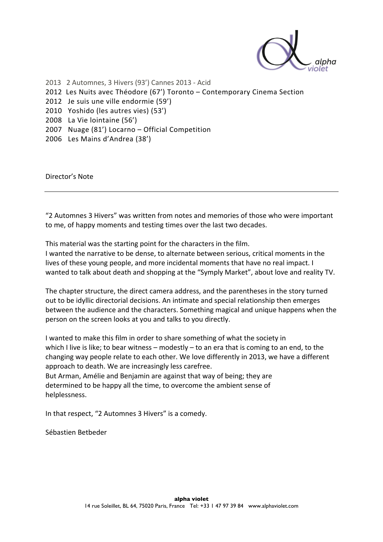

2013 2 Automnes, 3 Hivers (93') Cannes 2013 - Acid 2012 Les Nuits avec Théodore (67') Toronto - Contemporary Cinema Section 2012 Je suis une ville endormie (59') 2010 Yoshido (les autres vies) (53') 2008 La Vie lointaine (56') 2007 Nuage (81') Locarno - Official Competition 2006 Les Mains d'Andrea (38')

Director's Note

"2 Automnes 3 Hivers" was written from notes and memories of those who were important to me, of happy moments and testing times over the last two decades.

This material was the starting point for the characters in the film. I wanted the narrative to be dense, to alternate between serious, critical moments in the lives of these young people, and more incidental moments that have no real impact. I wanted to talk about death and shopping at the "Symply Market", about love and reality TV.

The chapter structure, the direct camera address, and the parentheses in the story turned out to be idyllic directorial decisions. An intimate and special relationship then emerges between the audience and the characters. Something magical and unique happens when the person on the screen looks at you and talks to you directly.

I wanted to make this film in order to share something of what the society in which I live is like; to bear witness – modestly – to an era that is coming to an end, to the changing way people relate to each other. We love differently in 2013, we have a different approach to death. We are increasingly less carefree.

But Arman, Amélie and Benjamin are against that way of being; they are determined to be happy all the time, to overcome the ambient sense of helplessness. 

In that respect, "2 Automnes 3 Hivers" is a comedy.

Sébastien Betbeder